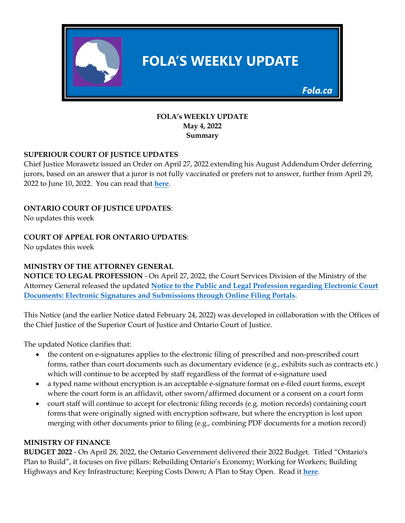

### **FOLA's WEEKLY UPDATE May 4, 2022 Summary**

# **SUPERIOUR COURT OF JUSTICE UPDATES**

Chief Justice Morawetz issued an Order on April 27, 2022 extending his August Addendum Order deferring jurors, based on an answer that a juror is not fully vaccinated or prefers not to answer, further from April 29, 2022 to June 10, 2022. You can read that **[here](https://img1.wsimg.com/blobby/go/63f6349d-d85d-4511-bc5f-4314d54b45d0/downloads/April%202022%20Jury%20Deferral%20Order%20extending%20defer.pdf?ver=1651098992248)**.

# **ONTARIO COURT OF JUSTICE UPDATES**:

No updates this week

# **COURT OF APPEAL FOR ONTARIO UPDATES**:

No updates this week

### **MINISTRY OF THE ATTORNEY GENERAL**

**NOTICE TO LEGAL PROFESSION** - On April 27, 2022, the Court Services Division of the Ministry of the Attorney General released the updated **[Notice to the Public and Legal Profession regarding Electronic Court](http://ontariocourtforms.on.ca/static/media/uploads/courtforms/civil/notices/csd_notice_to_public_and_profession_regarding_e-signatures_and_submissions_through_the_online_filing_portals_(april_27_2022).pdf)  [Documents: Electronic Signatures and Submissions through Online Filing Portals](http://ontariocourtforms.on.ca/static/media/uploads/courtforms/civil/notices/csd_notice_to_public_and_profession_regarding_e-signatures_and_submissions_through_the_online_filing_portals_(april_27_2022).pdf)**.

This Notice (and the earlier Notice dated February 24, 2022) was developed in collaboration with the Offices of the Chief Justice of the Superior Court of Justice and Ontario Court of Justice.

The updated Notice clarifies that:

- the content on e-signatures applies to the electronic filing of prescribed and non-prescribed court forms, rather than court documents such as documentary evidence (e.g., exhibits such as contracts etc.) which will continue to be accepted by staff regardless of the format of e-signature used
- a typed name without encryption is an acceptable e-signature format on e-filed court forms, except where the court form is an affidavit, other sworn/affirmed document or a consent on a court form
- court staff will continue to accept for electronic filing records (e.g. motion records) containing court forms that were originally signed with encryption software, but where the encryption is lost upon merging with other documents prior to filing (e.g., combining PDF documents for a motion record)

### **MINISTRY OF FINANCE**

**BUDGET 2022** - On April 28, 2022, the Ontario Government delivered their 2022 Budget. Titled "Ontario's Plan to Build", it focuses on five pillars: Rebuilding Ontario's Economy; Working for Workers; Building Highways and Key Infrastructure; Keeping Costs Down; A Plan to Stay Open. Read it **[here](https://fola.ca/ministry-of-finance-on)**.